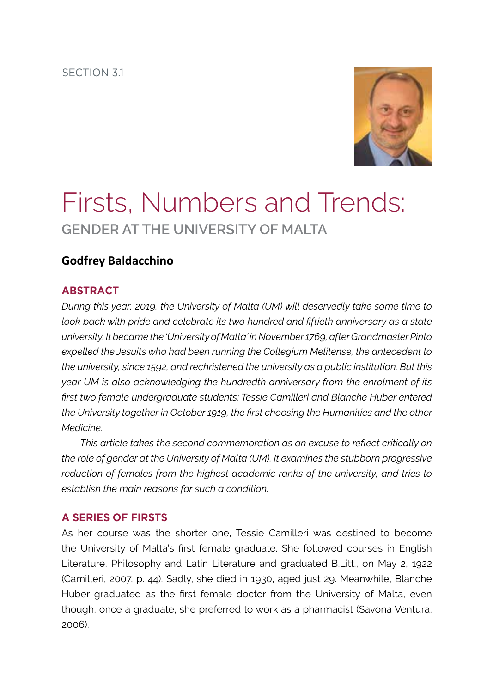section 3.1



# Firsts, Numbers and Trends: **Gender at the University of Malta**

## **Godfrey Baldacchino**

## **Abstract**

*During this year, 2019, the University of Malta (UM) will deservedly take some time to look back with pride and celebrate its two hundred and fiftieth anniversary as a state university. It became the 'University of Malta' in November 1769, after Grandmaster Pinto expelled the Jesuits who had been running the Collegium Melitense, the antecedent to the university, since 1592, and rechristened the university as a public institution. But this year UM is also acknowledging the hundredth anniversary from the enrolment of its first two female undergraduate students: Tessie Camilleri and Blanche Huber entered the University together in October 1919, the first choosing the Humanities and the other Medicine.* 

*This article takes the second commemoration as an excuse to reflect critically on the role of gender at the University of Malta (UM). It examines the stubborn progressive reduction of females from the highest academic ranks of the university, and tries to establish the main reasons for such a condition.* 

### **A Series of Firsts**

As her course was the shorter one, Tessie Camilleri was destined to become the University of Malta's first female graduate. She followed courses in English Literature, Philosophy and Latin Literature and graduated B.Litt., on May 2, 1922 (Camilleri, 2007, p. 44). Sadly, she died in 1930, aged just 29. Meanwhile, Blanche Huber graduated as the first female doctor from the University of Malta, even though, once a graduate, she preferred to work as a pharmacist (Savona Ventura, 2006).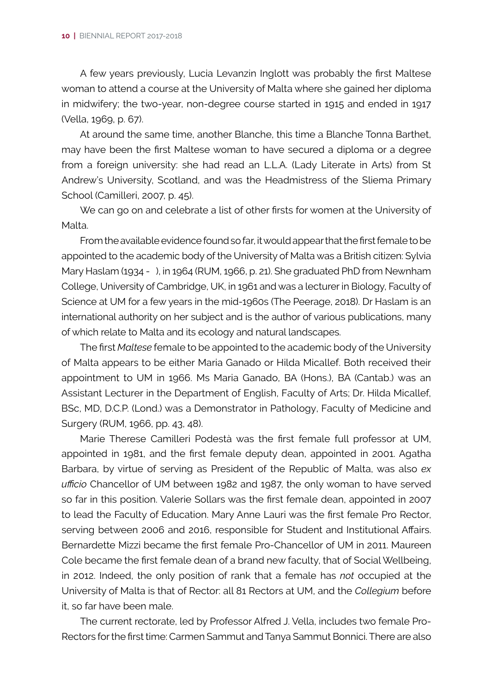A few years previously, Lucia Levanzin Inglott was probably the first Maltese woman to attend a course at the University of Malta where she gained her diploma in midwifery; the two-year, non-degree course started in 1915 and ended in 1917 (Vella, 1969, p. 67).

At around the same time, another Blanche, this time a Blanche Tonna Barthet, may have been the first Maltese woman to have secured a diploma or a degree from a foreign university: she had read an L.L.A. (Lady Literate in Arts) from St Andrew's University, Scotland, and was the Headmistress of the Sliema Primary School (Camilleri, 2007, p. 45).

We can go on and celebrate a list of other firsts for women at the University of Malta.

From the available evidence found so far, it would appear that the first female to be appointed to the academic body of the University of Malta was a British citizen: Sylvia Mary Haslam (1934 - ), in 1964 (RUM, 1966, p. 21). She graduated PhD from Newnham College, University of Cambridge, UK, in 1961 and was a lecturer in Biology, Faculty of Science at UM for a few years in the mid-1960s (The Peerage, 2018). Dr Haslam is an international authority on her subject and is the author of various publications, many of which relate to Malta and its ecology and natural landscapes.

The first *Maltese* female to be appointed to the academic body of the University of Malta appears to be either Maria Ganado or Hilda Micallef. Both received their appointment to UM in 1966. Ms Maria Ganado, BA (Hons.), BA (Cantab.) was an Assistant Lecturer in the Department of English, Faculty of Arts; Dr. Hilda Micallef, BSc, MD, D.C.P. (Lond.) was a Demonstrator in Pathology, Faculty of Medicine and Surgery (RUM, 1966, pp. 43, 48).

Marie Therese Camilleri Podestà was the first female full professor at UM, appointed in 1981, and the first female deputy dean, appointed in 2001. Agatha Barbara, by virtue of serving as President of the Republic of Malta, was also *ex ufficio* Chancellor of UM between 1982 and 1987, the only woman to have served so far in this position. Valerie Sollars was the first female dean, appointed in 2007 to lead the Faculty of Education. Mary Anne Lauri was the first female Pro Rector, serving between 2006 and 2016, responsible for Student and Institutional Affairs. Bernardette Mizzi became the first female Pro-Chancellor of UM in 2011. Maureen Cole became the first female dean of a brand new faculty, that of Social Wellbeing, in 2012. Indeed, the only position of rank that a female has *not* occupied at the University of Malta is that of Rector: all 81 Rectors at UM, and the *Collegium* before it, so far have been male.

The current rectorate, led by Professor Alfred J. Vella, includes two female Pro-Rectors for the first time: Carmen Sammut and Tanya Sammut Bonnici. There are also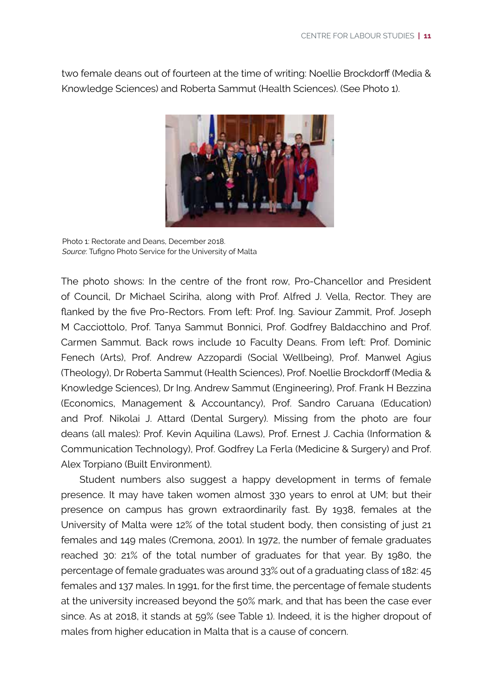two female deans out of fourteen at the time of writing: Noellie Brockdorff (Media & Knowledge Sciences) and Roberta Sammut (Health Sciences). (See Photo 1).



Photo 1: Rectorate and Deans, December 2018. *Source*: Tufigno Photo Service for the University of Malta

The photo shows: In the centre of the front row, Pro-Chancellor and President of Council, Dr Michael Sciriha, along with Prof. Alfred J. Vella, Rector. They are flanked by the five Pro-Rectors. From left: Prof. Ing. Saviour Zammit, Prof. Joseph M Cacciottolo, Prof. Tanya Sammut Bonnici, Prof. Godfrey Baldacchino and Prof. Carmen Sammut. Back rows include 10 Faculty Deans. From left: Prof. Dominic Fenech (Arts), Prof. Andrew Azzopardi (Social Wellbeing), Prof. Manwel Agius (Theology), Dr Roberta Sammut (Health Sciences), Prof. Noellie Brockdorff (Media & Knowledge Sciences), Dr Ing. Andrew Sammut (Engineering), Prof. Frank H Bezzina (Economics, Management & Accountancy), Prof. Sandro Caruana (Education) and Prof. Nikolai J. Attard (Dental Surgery). Missing from the photo are four deans (all males): Prof. Kevin Aquilina (Laws), Prof. Ernest J. Cachia (Information & Communication Technology), Prof. Godfrey La Ferla (Medicine & Surgery) and Prof. Alex Torpiano (Built Environment).

Student numbers also suggest a happy development in terms of female presence. It may have taken women almost 330 years to enrol at UM; but their presence on campus has grown extraordinarily fast. By 1938, females at the University of Malta were 12% of the total student body, then consisting of just 21 females and 149 males (Cremona, 2001). In 1972, the number of female graduates reached 30: 21% of the total number of graduates for that year. By 1980, the percentage of female graduates was around 33% out of a graduating class of 182: 45 females and 137 males. In 1991, for the first time, the percentage of female students at the university increased beyond the 50% mark, and that has been the case ever since. As at 2018, it stands at 59% (see Table 1). Indeed, it is the higher dropout of males from higher education in Malta that is a cause of concern.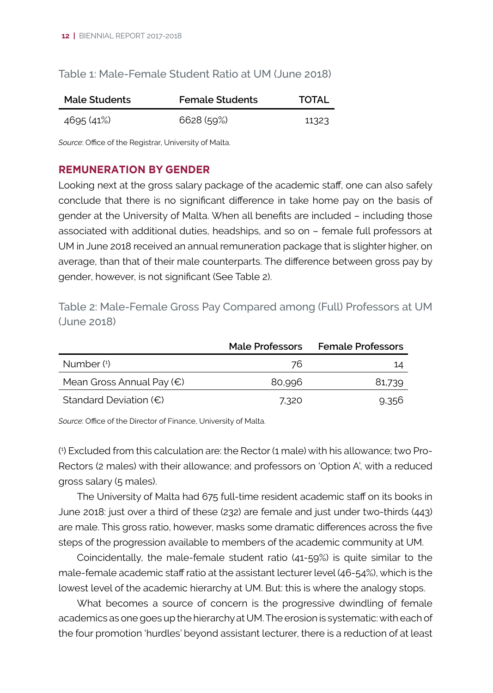## Table 1: Male-Female Student Ratio at UM (June 2018)

| Male Students | <b>Female Students</b> | TOTAL |
|---------------|------------------------|-------|
| 4695 (41%)    | 6628(59%)              | 11323 |

*Source*: Office of the Registrar, University of Malta.

## **Remuneration by Gender**

Looking next at the gross salary package of the academic staff, one can also safely conclude that there is no significant difference in take home pay on the basis of gender at the University of Malta. When all benefits are included – including those associated with additional duties, headships, and so on – female full professors at UM in June 2018 received an annual remuneration package that is slighter higher, on average, than that of their male counterparts. The difference between gross pay by gender, however, is not significant (See Table 2).

Table 2: Male-Female Gross Pay Compared among (Full) Professors at UM (June 2018)

|                                    | Male Professors | <b>Female Professors</b> |
|------------------------------------|-----------------|--------------------------|
| Number (1)                         | 76              | 14                       |
| Mean Gross Annual Pay $(\epsilon)$ | 80,996          | 81.739                   |
| Standard Deviation $(\epsilon)$    | 7.320           | 9.356                    |

*Source*: Office of the Director of Finance, University of Malta.

( 1 ) Excluded from this calculation are: the Rector (1 male) with his allowance; two Pro-Rectors (2 males) with their allowance; and professors on 'Option A', with a reduced gross salary (5 males).

The University of Malta had 675 full-time resident academic staff on its books in June 2018: just over a third of these (232) are female and just under two-thirds (443) are male. This gross ratio, however, masks some dramatic differences across the five steps of the progression available to members of the academic community at UM.

Coincidentally, the male-female student ratio (41-59%) is quite similar to the male-female academic staff ratio at the assistant lecturer level (46-54%), which is the lowest level of the academic hierarchy at UM. But: this is where the analogy stops.

What becomes a source of concern is the progressive dwindling of female academics as one goes up the hierarchy at UM. The erosion is systematic: with each of the four promotion 'hurdles' beyond assistant lecturer, there is a reduction of at least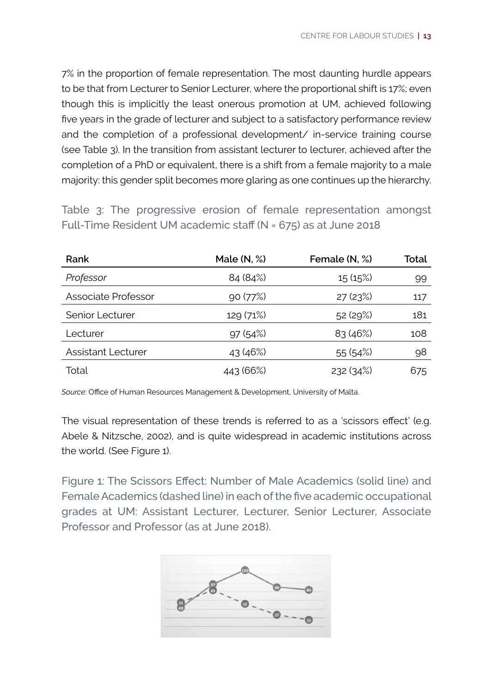7% in the proportion of female representation. The most daunting hurdle appears to be that from Lecturer to Senior Lecturer, where the proportional shift is 17%; even though this is implicitly the least onerous promotion at UM, achieved following five years in the grade of lecturer and subject to a satisfactory performance review and the completion of a professional development/ in-service training course (see Table 3). In the transition from assistant lecturer to lecturer, achieved after the completion of a PhD or equivalent, there is a shift from a female majority to a male majority: this gender split becomes more glaring as one continues up the hierarchy.

Table 3: The progressive erosion of female representation amongst Full-Time Resident UM academic staff (N = 675) as at June 2018

| Rank                      | Male $(N, \%)$ | Female (N, %) | Total |
|---------------------------|----------------|---------------|-------|
| Professor                 | 84 (84%)       | 15(15%)       | 99    |
| Associate Professor       | 90(77%)        | 27(23%)       | 117   |
| Senior Lecturer           | 129 (71%)      | 52(29%)       | 181   |
| Lecturer                  | 97(54%)        | 83(46%)       | 108   |
| <b>Assistant Lecturer</b> | 43 (46%)       | 55(54%)       | 98    |
| Total                     | 443 (66%)      | 232(34%)      | 675   |

*Source*: Office of Human Resources Management & Development, University of Malta.

The visual representation of these trends is referred to as a 'scissors effect' (e.g. Abele & Nitzsche, 2002), and is quite widespread in academic institutions across the world. (See Figure 1).

Figure 1: The Scissors Effect: Number of Male Academics (solid line) and Female Academics (dashed line) in each of the five academic occupational grades at UM: Assistant Lecturer, Lecturer, Senior Lecturer, Associate Professor and Professor (as at June 2018).

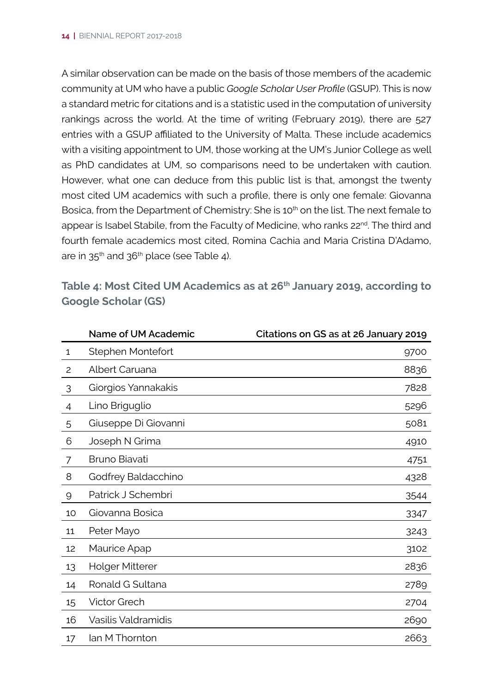A similar observation can be made on the basis of those members of the academic community at UM who have a public *Google Scholar User Profile* (GSUP). This is now a standard metric for citations and is a statistic used in the computation of university rankings across the world. At the time of writing (February 2019), there are 527 entries with a GSUP affiliated to the University of Malta. These include academics with a visiting appointment to UM, those working at the UM's Junior College as well as PhD candidates at UM, so comparisons need to be undertaken with caution. However, what one can deduce from this public list is that, amongst the twenty most cited UM academics with such a profile, there is only one female: Giovanna Bosica, from the Department of Chemistry: She is 10<sup>th</sup> on the list. The next female to appear is Isabel Stabile, from the Faculty of Medicine, who ranks 22<sup>nd</sup>. The third and fourth female academics most cited, Romina Cachia and Maria Cristina D'Adamo, are in  $35<sup>th</sup>$  and  $36<sup>th</sup>$  place (see Table 4).

**Table 4: Most Cited UM Academics as at 26th January 2019, according to Google Scholar (GS)**

|                | Name of UM Academic    | Citations on GS as at 26 January 2019 |
|----------------|------------------------|---------------------------------------|
| 1              | Stephen Montefort      | 9700                                  |
| $\overline{c}$ | Albert Caruana         | 8836                                  |
| 3              | Giorgios Yannakakis    | 7828                                  |
| 4              | Lino Briguglio         | 5296                                  |
| 5              | Giuseppe Di Giovanni   | 5081                                  |
| 6              | Joseph N Grima         | 4910                                  |
| 7              | Bruno Biavati          | 4751                                  |
| 8              | Godfrey Baldacchino    | 4328                                  |
| 9              | Patrick J Schembri     | 3544                                  |
| 10             | Giovanna Bosica        | 3347                                  |
| 11             | Peter Mayo             | 3243                                  |
| 12             | Maurice Apap           | 3102                                  |
| 13             | <b>Holger Mitterer</b> | 2836                                  |
| 14             | Ronald G Sultana       | 2789                                  |
| 15             | <b>Victor Grech</b>    | 2704                                  |
| 16             | Vasilis Valdramidis    | 2690                                  |
| 17             | lan M Thornton         | 2663                                  |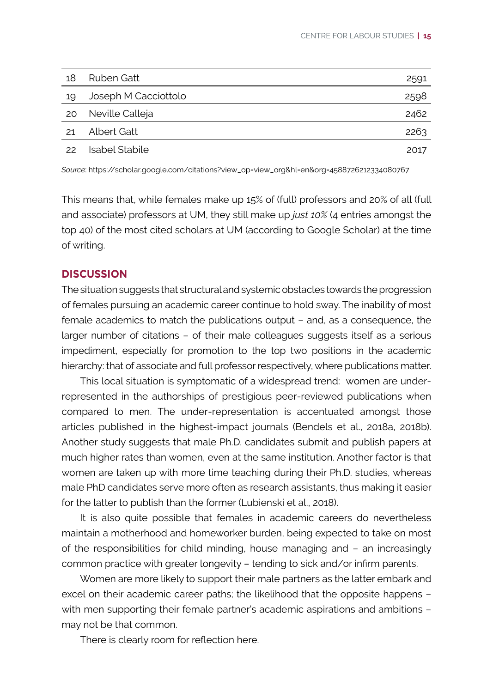| 18 | Ruben Gatt           | 2591 |
|----|----------------------|------|
| 19 | Joseph M Cacciottolo | 2598 |
| 20 | Neville Calleja      | 2462 |
| 21 | Albert Gatt          | 2263 |
| 22 | Isabel Stabile       | 2017 |

*Source*: https://scholar.google.com/citations?view\_op=view\_org&hl=en&org=4588726212334080767

This means that, while females make up 15% of (full) professors and 20% of all (full and associate) professors at UM, they still make up *just 10%* (4 entries amongst the top 40) of the most cited scholars at UM (according to Google Scholar) at the time of writing.

#### **Discussion**

The situation suggests that structural and systemic obstacles towards the progression of females pursuing an academic career continue to hold sway. The inability of most female academics to match the publications output – and, as a consequence, the larger number of citations – of their male colleagues suggests itself as a serious impediment, especially for promotion to the top two positions in the academic hierarchy: that of associate and full professor respectively, where publications matter.

This local situation is symptomatic of a widespread trend: women are underrepresented in the authorships of prestigious peer-reviewed publications when compared to men. The under-representation is accentuated amongst those articles published in the highest-impact journals (Bendels et al., 2018a, 2018b). Another study suggests that male Ph.D. candidates submit and publish papers at much higher rates than women, even at the same institution. Another factor is that women are taken up with more time teaching during their Ph.D. studies, whereas male PhD candidates serve more often as research assistants, thus making it easier for the latter to publish than the former (Lubienski et al., 2018).

It is also quite possible that females in academic careers do nevertheless maintain a motherhood and homeworker burden, being expected to take on most of the responsibilities for child minding, house managing and – an increasingly common practice with greater longevity – tending to sick and/or infirm parents.

Women are more likely to support their male partners as the latter embark and excel on their academic career paths; the likelihood that the opposite happens – with men supporting their female partner's academic aspirations and ambitions – may not be that common.

There is clearly room for reflection here.